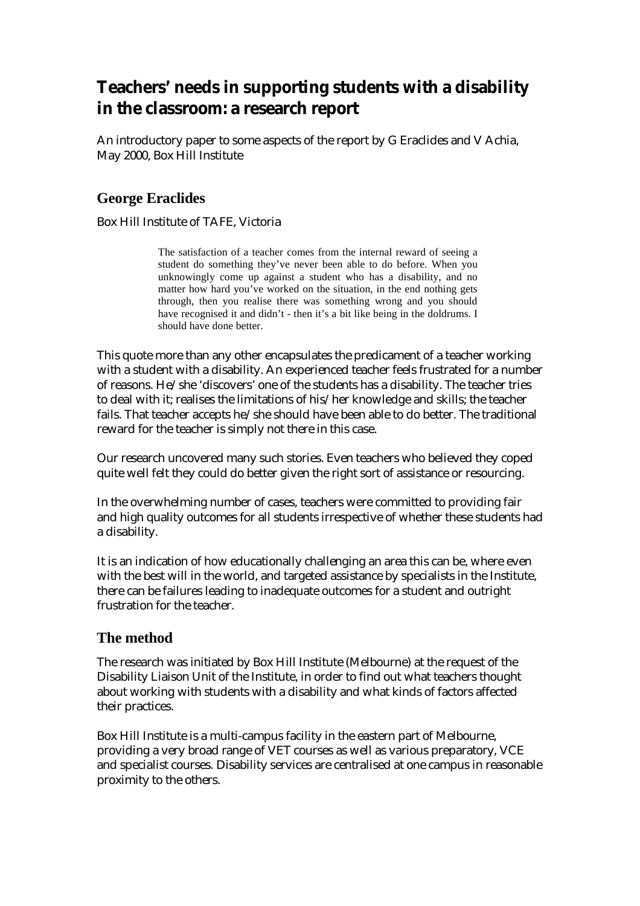# **Teachers' needs in supporting students with a disability in the classroom: a research report**

An introductory paper to some aspects of the report by G Eraclides and V Achia, May 2000, Box Hill Institute

# **George Eraclides**

Box Hill Institute of TAFE, Victoria

The satisfaction of a teacher comes from the internal reward of seeing a student do something they've never been able to do before. When you unknowingly come up against a student who has a disability, and no matter how hard you've worked on the situation, in the end nothing gets through, then you realise there was something wrong and you should have recognised it and didn't - then it's a bit like being in the doldrums. I should have done better.

This quote more than any other encapsulates the predicament of a teacher working with a student with a disability. An experienced teacher feels frustrated for a number of reasons. He/she 'discovers' one of the students has a disability. The teacher tries to deal with it; realises the limitations of his/her knowledge and skills; the teacher fails. That teacher accepts he/she should have been able to do better. The traditional reward for the teacher is simply not there in this case.

Our research uncovered many such stories. Even teachers who believed they coped quite well felt they could do better given the right sort of assistance or resourcing.

In the overwhelming number of cases, teachers were committed to providing fair and high quality outcomes for all students irrespective of whether these students had a disability.

It is an indication of how educationally challenging an area this can be, where even with the best will in the world, and targeted assistance by specialists in the Institute, there can be failures leading to inadequate outcomes for a student and outright frustration for the teacher.

# **The method**

The research was initiated by Box Hill Institute (Melbourne) at the request of the Disability Liaison Unit of the Institute, in order to find out what teachers thought about working with students with a disability and what kinds of factors affected their practices.

Box Hill Institute is a multi-campus facility in the eastern part of Melbourne, providing a very broad range of VET courses as well as various preparatory, VCE and specialist courses. Disability services are centralised at one campus in reasonable proximity to the others.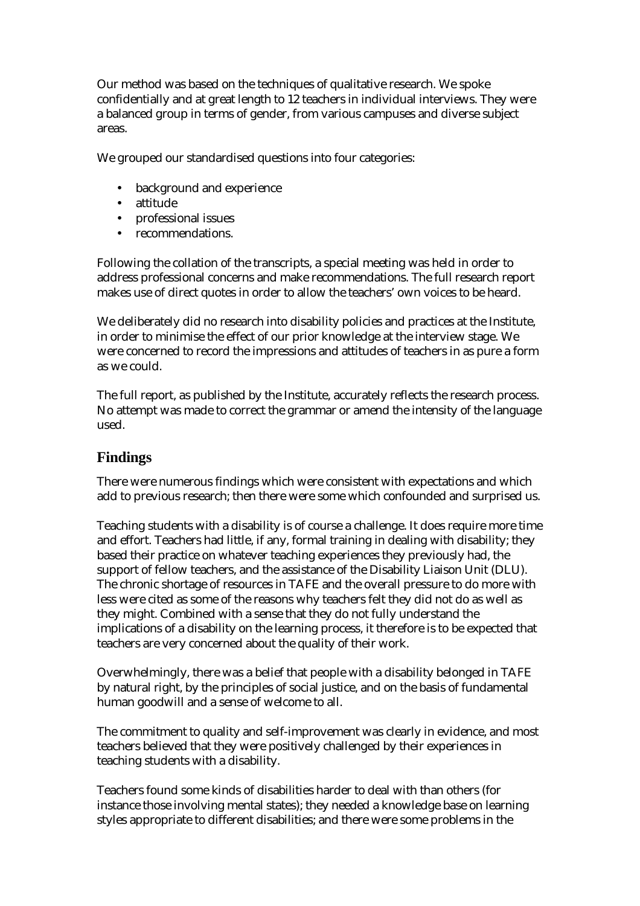Our method was based on the techniques of qualitative research. We spoke confidentially and at great length to 12 teachers in individual interviews. They were a balanced group in terms of gender, from various campuses and diverse subject areas.

We grouped our standardised questions into four categories:

- background and experience
- attitude
- professional issues
- recommendations.

Following the collation of the transcripts, a special meeting was held in order to address professional concerns and make recommendations. The full research report makes use of direct quotes in order to allow the teachers' own voices to be heard.

We deliberately did no research into disability policies and practices at the Institute, in order to minimise the effect of our prior knowledge at the interview stage. We were concerned to record the impressions and attitudes of teachers in as pure a form as we could.

The full report, as published by the Institute, accurately reflects the research process. No attempt was made to correct the grammar or amend the intensity of the language used.

## **Findings**

There were numerous findings which were consistent with expectations and which add to previous research; then there were some which confounded and surprised us.

Teaching students with a disability is of course a challenge. It does require more time and effort. Teachers had little, if any, formal training in dealing with disability; they based their practice on whatever teaching experiences they previously had, the support of fellow teachers, and the assistance of the Disability Liaison Unit (DLU). The chronic shortage of resources in TAFE and the overall pressure to do more with less were cited as some of the reasons why teachers felt they did not do as well as they might. Combined with a sense that they do not fully understand the implications of a disability on the learning process, it therefore is to be expected that teachers are very concerned about the quality of their work.

Overwhelmingly, there was a belief that people with a disability belonged in TAFE by natural right, by the principles of social justice, and on the basis of fundamental human goodwill and a sense of welcome to all.

The commitment to quality and self-improvement was clearly in evidence, and most teachers believed that they were positively challenged by their experiences in teaching students with a disability.

Teachers found some kinds of disabilities harder to deal with than others (for instance those involving mental states); they needed a knowledge base on learning styles appropriate to different disabilities; and there were some problems in the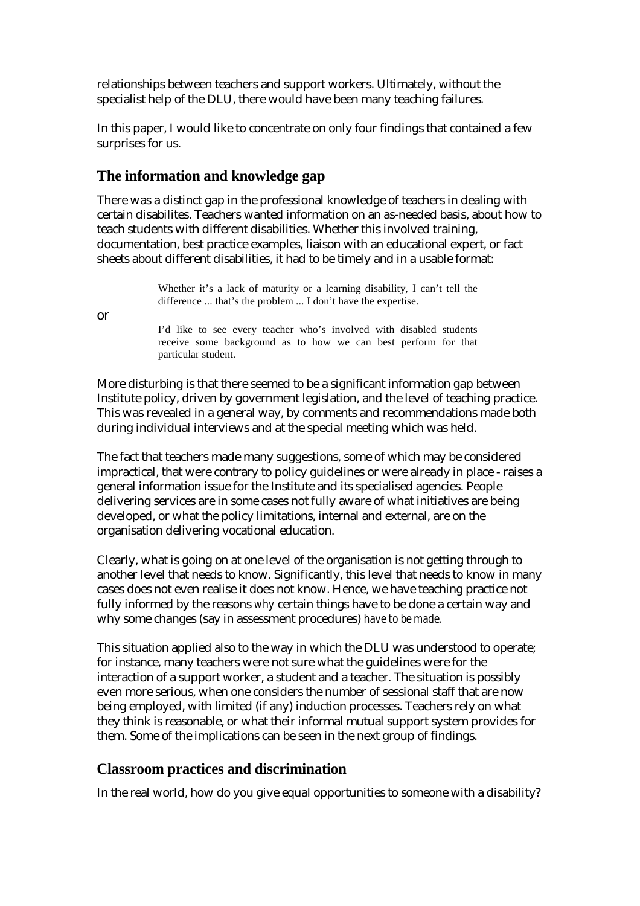relationships between teachers and support workers. Ultimately, without the specialist help of the DLU, there would have been many teaching failures.

In this paper, I would like to concentrate on only four findings that contained a few surprises for us.

### **The information and knowledge gap**

There was a distinct gap in the professional knowledge of teachers in dealing with certain disabilites. Teachers wanted information on an as-needed basis, about how to teach students with different disabilities. Whether this involved training, documentation, best practice examples, liaison with an educational expert, or fact sheets about different disabilities, it had to be timely and in a usable format:

> Whether it's a lack of maturity or a learning disability, I can't tell the difference ... that's the problem ... I don't have the expertise.

or

I'd like to see every teacher who's involved with disabled students receive some background as to how we can best perform for that particular student.

More disturbing is that there seemed to be a significant information gap between Institute policy, driven by government legislation, and the level of teaching practice. This was revealed in a general way, by comments and recommendations made both during individual interviews and at the special meeting which was held.

The fact that teachers made many suggestions, some of which may be considered impractical, that were contrary to policy guidelines or were already in place - raises a general information issue for the Institute and its specialised agencies. People delivering services are in some cases not fully aware of what initiatives are being developed, or what the policy limitations, internal and external, are on the organisation delivering vocational education.

Clearly, what is going on at one level of the organisation is not getting through to another level that needs to know. Significantly, this level that needs to know in many cases does not even realise it does not know. Hence, we have teaching practice not fully informed by the reasons *why* certain things have to be done a certain way and why some changes (say in assessment procedures) *have to be made.* 

This situation applied also to the way in which the DLU was understood to operate; for instance, many teachers were not sure what the guidelines were for the interaction of a support worker, a student and a teacher. The situation is possibly even more serious, when one considers the number of sessional staff that are now being employed, with limited (if any) induction processes. Teachers rely on what they think is reasonable, or what their informal mutual support system provides for them. Some of the implications can be seen in the next group of findings.

#### **Classroom practices and discrimination**

In the real world, how do you give equal opportunities to someone with a disability?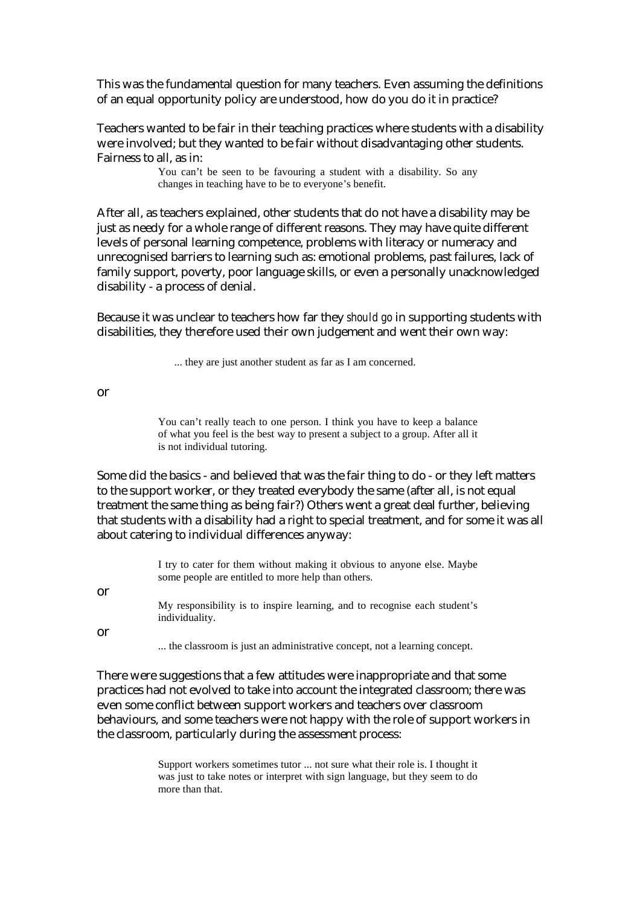This was the fundamental question for many teachers. Even assuming the definitions of an equal opportunity policy are understood, how do you do it in practice?

Teachers wanted to be fair in their teaching practices where students with a disability were involved; but they wanted to be fair without disadvantaging other students. Fairness to all, as in:

> You can't be seen to be favouring a student with a disability. So any changes in teaching have to be to everyone's benefit.

After all, as teachers explained, other students that do not have a disability may be just as needy for a whole range of different reasons. They may have quite different levels of personal learning competence, problems with literacy or numeracy and unrecognised barriers to learning such as: emotional problems, past failures, lack of family support, poverty, poor language skills, or even a personally unacknowledged disability - a process of denial.

Because it was unclear to teachers how far they *should go* in supporting students with disabilities, they therefore used their own judgement and went their own way:

... they are just another student as far as I am concerned.

or

You can't really teach to one person. I think you have to keep a balance of what you feel is the best way to present a subject to a group. After all it is not individual tutoring.

Some did the basics - and believed that was the fair thing to do - or they left matters to the support worker, or they treated everybody the same (after all, is not equal treatment the same thing as being fair?) Others went a great deal further, believing that students with a disability had a right to special treatment, and for some it was all about catering to individual differences anyway:

|    | I try to cater for them without making it obvious to anyone else. Maybe<br>some people are entitled to more help than others. |
|----|-------------------------------------------------------------------------------------------------------------------------------|
| or |                                                                                                                               |
|    | My responsibility is to inspire learning, and to recognise each student's<br>individuality.                                   |
| or |                                                                                                                               |
|    | the classroom is just an administrative concept, not a learning concept.                                                      |

There were suggestions that a few attitudes were inappropriate and that some practices had not evolved to take into account the integrated classroom; there was even some conflict between support workers and teachers over classroom behaviours, and some teachers were not happy with the role of support workers in the classroom, particularly during the assessment process:

> Support workers sometimes tutor ... not sure what their role is. I thought it was just to take notes or interpret with sign language, but they seem to do more than that.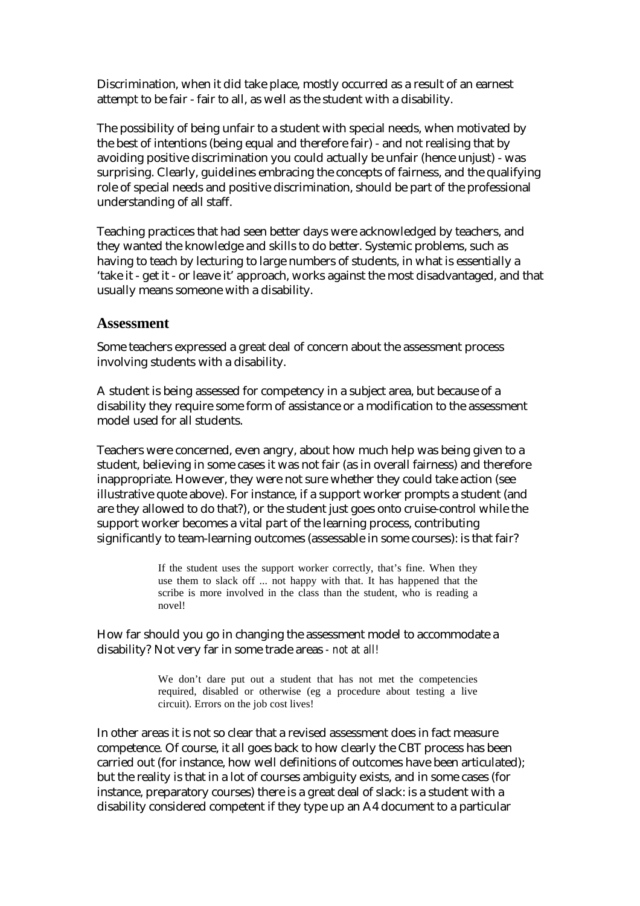Discrimination, when it did take place, mostly occurred as a result of an earnest attempt to be fair - fair to all, as well as the student with a disability.

The possibility of being unfair to a student with special needs, when motivated by the best of intentions (being equal and therefore fair) - and not realising that by avoiding positive discrimination you could actually be unfair (hence unjust) - was surprising. Clearly, guidelines embracing the concepts of fairness, and the qualifying role of special needs and positive discrimination, should be part of the professional understanding of all staff.

Teaching practices that had seen better days were acknowledged by teachers, and they wanted the knowledge and skills to do better. Systemic problems, such as having to teach by lecturing to large numbers of students, in what is essentially a 'take it - get it - or leave it' approach, works against the most disadvantaged, and that usually means someone with a disability.

#### **Assessment**

Some teachers expressed a great deal of concern about the assessment process involving students with a disability.

A student is being assessed for competency in a subject area, but because of a disability they require some form of assistance or a modification to the assessment model used for all students.

Teachers were concerned, even angry, about how much help was being given to a student, believing in some cases it was not fair (as in overall fairness) and therefore inappropriate. However, they were not sure whether they could take action (see illustrative quote above). For instance, if a support worker prompts a student (and are they allowed to do that?), or the student just goes onto cruise-control while the support worker becomes a vital part of the learning process, contributing significantly to team-learning outcomes (assessable in some courses): is that fair?

> If the student uses the support worker correctly, that's fine. When they use them to slack off ... not happy with that. It has happened that the scribe is more involved in the class than the student, who is reading a novel!

How far should you go in changing the assessment model to accommodate a disability? Not very far in some trade areas *- not at all!*

> We don't dare put out a student that has not met the competencies required, disabled or otherwise (eg a procedure about testing a live circuit). Errors on the job cost lives!

In other areas it is not so clear that a revised assessment does in fact measure competence. Of course, it all goes back to how clearly the CBT process has been carried out (for instance, how well definitions of outcomes have been articulated); but the reality is that in a lot of courses ambiguity exists, and in some cases (for instance, preparatory courses) there is a great deal of slack: is a student with a disability considered competent if they type up an A4 document to a particular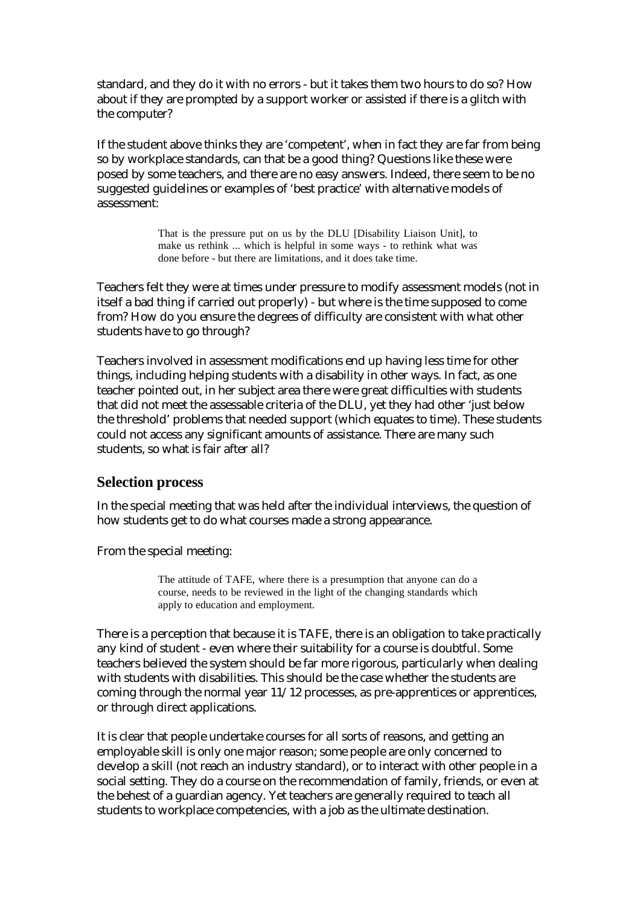standard, and they do it with no errors - but it takes them two hours to do so? How about if they are prompted by a support worker or assisted if there is a glitch with the computer?

If the student above thinks they are 'competent', when in fact they are far from being so by workplace standards, can that be a good thing? Questions like these were posed by some teachers, and there are no easy answers. Indeed, there seem to be no suggested guidelines or examples of 'best practice' with alternative models of assessment:

> That is the pressure put on us by the DLU [Disability Liaison Unit], to make us rethink ... which is helpful in some ways - to rethink what was done before - but there are limitations, and it does take time.

Teachers felt they were at times under pressure to modify assessment models (not in itself a bad thing if carried out properly) - but where is the time supposed to come from? How do you ensure the degrees of difficulty are consistent with what other students have to go through?

Teachers involved in assessment modifications end up having less time for other things, including helping students with a disability in other ways. In fact, as one teacher pointed out, in her subject area there were great difficulties with students that did not meet the assessable criteria of the DLU, yet they had other 'just below the threshold' problems that needed support (which equates to time). These students could not access any significant amounts of assistance. There are many such students, so what is fair after all?

#### **Selection process**

In the special meeting that was held after the individual interviews, the question of how students get to do what courses made a strong appearance.

From the special meeting:

The attitude of TAFE, where there is a presumption that anyone can do a course, needs to be reviewed in the light of the changing standards which apply to education and employment.

There is a perception that because it is TAFE, there is an obligation to take practically any kind of student - even where their suitability for a course is doubtful. Some teachers believed the system should be far more rigorous, particularly when dealing with students with disabilities. This should be the case whether the students are coming through the normal year 11/12 processes, as pre-apprentices or apprentices, or through direct applications.

It is clear that people undertake courses for all sorts of reasons, and getting an employable skill is only one major reason; some people are only concerned to develop a skill (not reach an industry standard), or to interact with other people in a social setting. They do a course on the recommendation of family, friends, or even at the behest of a guardian agency. Yet teachers are generally required to teach all students to workplace competencies, with a job as the ultimate destination.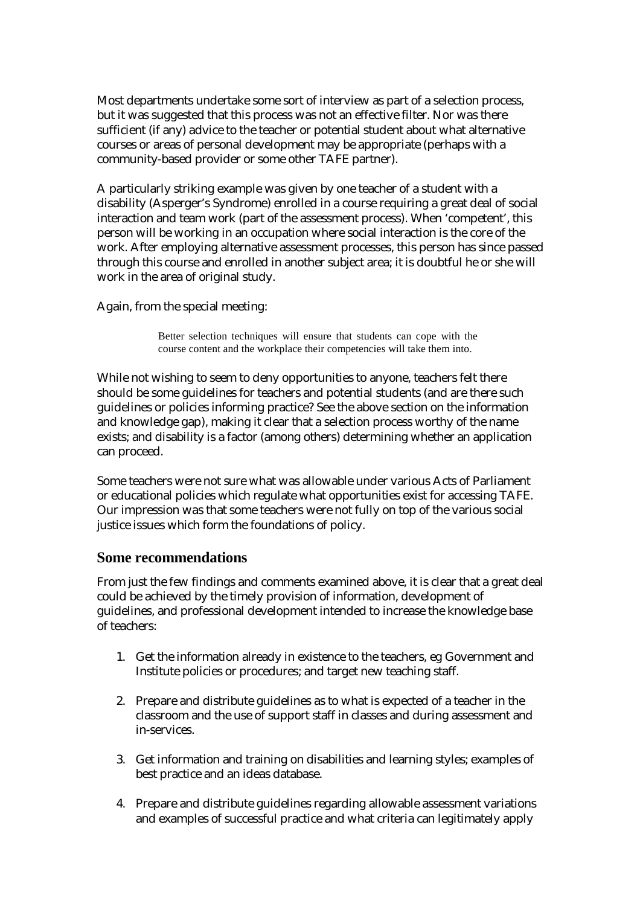Most departments undertake some sort of interview as part of a selection process, but it was suggested that this process was not an effective filter. Nor was there sufficient (if any) advice to the teacher or potential student about what alternative courses or areas of personal development may be appropriate (perhaps with a community-based provider or some other TAFE partner).

A particularly striking example was given by one teacher of a student with a disability (Asperger's Syndrome) enrolled in a course requiring a great deal of social interaction and team work (part of the assessment process). When 'competent', this person will be working in an occupation where social interaction is the core of the work. After employing alternative assessment processes, this person has since passed through this course and enrolled in another subject area; it is doubtful he or she will work in the area of original study.

Again, from the special meeting:

Better selection techniques will ensure that students can cope with the course content and the workplace their competencies will take them into.

While not wishing to seem to deny opportunities to anyone, teachers felt there should be some guidelines for teachers and potential students (and are there such guidelines or policies informing practice? See the above section on the information and knowledge gap), making it clear that a selection process worthy of the name exists; and disability is a factor (among others) determining whether an application can proceed.

Some teachers were not sure what was allowable under various Acts of Parliament or educational policies which regulate what opportunities exist for accessing TAFE. Our impression was that some teachers were not fully on top of the various social justice issues which form the foundations of policy.

#### **Some recommendations**

From just the few findings and comments examined above, it is clear that a great deal could be achieved by the timely provision of information, development of guidelines, and professional development intended to increase the knowledge base of teachers:

- 1. Get the information already in existence to the teachers, eg Government and Institute policies or procedures; and target new teaching staff.
- 2. Prepare and distribute guidelines as to what is expected of a teacher in the classroom and the use of support staff in classes and during assessment and in-services.
- 3. Get information and training on disabilities and learning styles; examples of best practice and an ideas database.
- 4. Prepare and distribute guidelines regarding allowable assessment variations and examples of successful practice and what criteria can legitimately apply